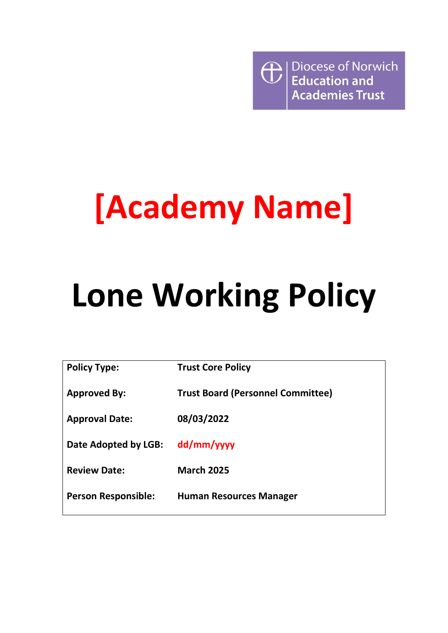Diocese of Norwich  $\bigoplus$ **Education and Academies Trust** 

# **[Academy Name]**

# **Lone Working Policy**

| <b>Policy Type:</b>        | <b>Trust Core Policy</b>                 |
|----------------------------|------------------------------------------|
| <b>Approved By:</b>        | <b>Trust Board (Personnel Committee)</b> |
| <b>Approval Date:</b>      | 08/03/2022                               |
| Date Adopted by LGB:       | dd/mm/yyyy                               |
| <b>Review Date:</b>        | <b>March 2025</b>                        |
| <b>Person Responsible:</b> | <b>Human Resources Manager</b>           |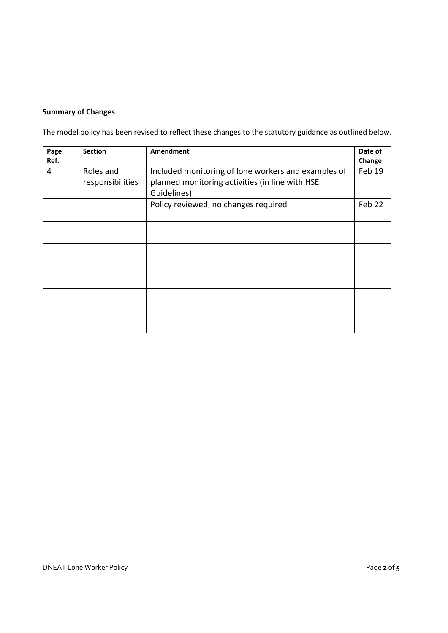## **Summary of Changes**

The model policy has been revised to reflect these changes to the statutory guidance as outlined below.

| Page<br>Ref. | <b>Section</b>                | Amendment                                                                                                             | Date of<br>Change |
|--------------|-------------------------------|-----------------------------------------------------------------------------------------------------------------------|-------------------|
| 4            | Roles and<br>responsibilities | Included monitoring of lone workers and examples of<br>planned monitoring activities (in line with HSE<br>Guidelines) | Feb 19            |
|              |                               | Policy reviewed, no changes required                                                                                  | Feb 22            |
|              |                               |                                                                                                                       |                   |
|              |                               |                                                                                                                       |                   |
|              |                               |                                                                                                                       |                   |
|              |                               |                                                                                                                       |                   |
|              |                               |                                                                                                                       |                   |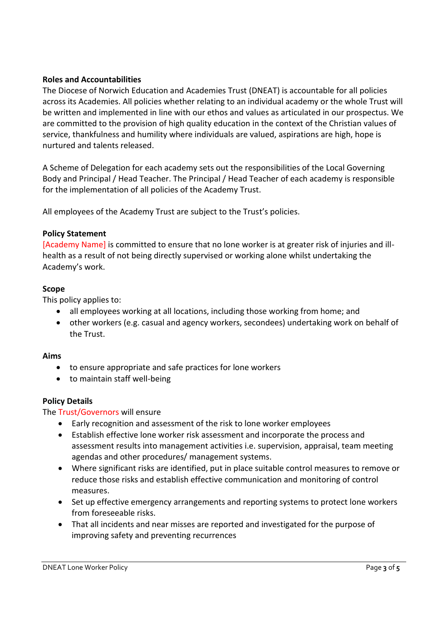## **Roles and Accountabilities**

The Diocese of Norwich Education and Academies Trust (DNEAT) is accountable for all policies across its Academies. All policies whether relating to an individual academy or the whole Trust will be written and implemented in line with our ethos and values as articulated in our prospectus. We are committed to the provision of high quality education in the context of the Christian values of service, thankfulness and humility where individuals are valued, aspirations are high, hope is nurtured and talents released.

A Scheme of Delegation for each academy sets out the responsibilities of the Local Governing Body and Principal / Head Teacher. The Principal / Head Teacher of each academy is responsible for the implementation of all policies of the Academy Trust.

All employees of the Academy Trust are subject to the Trust's policies.

## **Policy Statement**

[Academy Name] is committed to ensure that no lone worker is at greater risk of injuries and illhealth as a result of not being directly supervised or working alone whilst undertaking the Academy's work.

### **Scope**

This policy applies to:

- all employees working at all locations, including those working from home; and
- other workers (e.g. casual and agency workers, secondees) undertaking work on behalf of the Trust.

#### **Aims**

- to ensure appropriate and safe practices for lone workers
- to maintain staff well-being

## **Policy Details**

The Trust/Governors will ensure

- Early recognition and assessment of the risk to lone worker employees
- Establish effective lone worker risk assessment and incorporate the process and assessment results into management activities i.e. supervision, appraisal, team meeting agendas and other procedures/ management systems.
- Where significant risks are identified, put in place suitable control measures to remove or reduce those risks and establish effective communication and monitoring of control measures.
- Set up effective emergency arrangements and reporting systems to protect lone workers from foreseeable risks.
- That all incidents and near misses are reported and investigated for the purpose of improving safety and preventing recurrences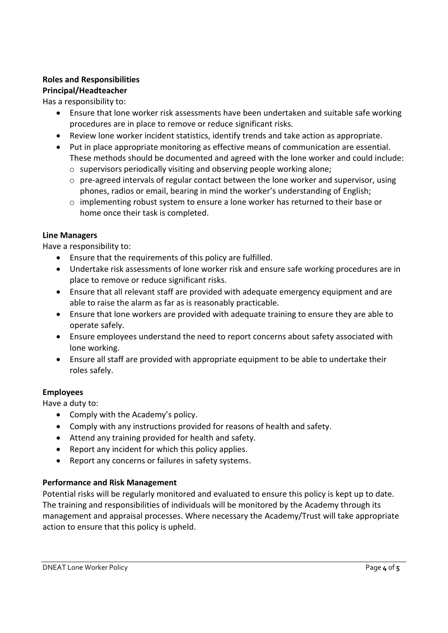# **Roles and Responsibilities**

# **Principal/Headteacher**

## Has a responsibility to:

- Ensure that lone worker risk assessments have been undertaken and suitable safe working procedures are in place to remove or reduce significant risks.
- Review lone worker incident statistics, identify trends and take action as appropriate.
- Put in place appropriate monitoring as effective means of communication are essential. These methods should be documented and agreed with the lone worker and could include:
	- o supervisors periodically visiting and observing people working alone;
	- $\circ$  pre-agreed intervals of regular contact between the lone worker and supervisor, using phones, radios or email, bearing in mind the worker's understanding of English;
	- $\circ$  implementing robust system to ensure a lone worker has returned to their base or home once their task is completed.

## **Line Managers**

Have a responsibility to:

- Ensure that the requirements of this policy are fulfilled.
- Undertake risk assessments of lone worker risk and ensure safe working procedures are in place to remove or reduce significant risks.
- Ensure that all relevant staff are provided with adequate emergency equipment and are able to raise the alarm as far as is reasonably practicable.
- Ensure that lone workers are provided with adequate training to ensure they are able to operate safely.
- Ensure employees understand the need to report concerns about safety associated with lone working.
- Ensure all staff are provided with appropriate equipment to be able to undertake their roles safely.

## **Employees**

Have a duty to:

- Comply with the Academy's policy.
- Comply with any instructions provided for reasons of health and safety.
- Attend any training provided for health and safety.
- Report any incident for which this policy applies.
- Report any concerns or failures in safety systems.

## **Performance and Risk Management**

Potential risks will be regularly monitored and evaluated to ensure this policy is kept up to date. The training and responsibilities of individuals will be monitored by the Academy through its management and appraisal processes. Where necessary the Academy/Trust will take appropriate action to ensure that this policy is upheld.